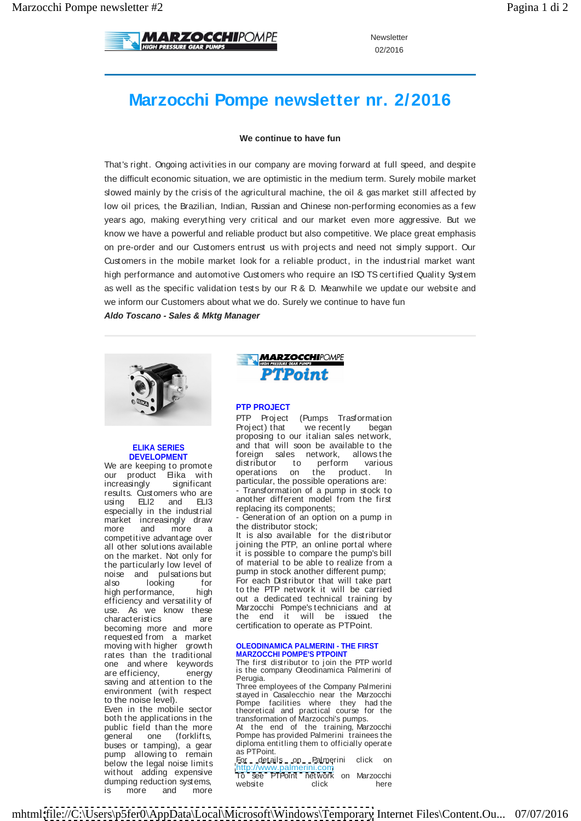

Newsletter **Newsletter Newsletter** 02/2016

# **Marzocchi Pompe newsletter nr. 2/2016**

### **We continue to have fun**

That's right. Ongoing activities in our company are moving forward at full speed, and despite the difficult economic situation, we are optimistic in the medium term. Surely mobile market slowed mainly by the crisis of the agricultural machine, the oil & gas market still affected by low oil prices, the Brazilian, Indian, Russian and Chinese non-performing economies as a few years ago, making everything very critical and our market even more aggressive. But we know we have a powerful and reliable product but also competitive. We place great emphasis on pre-order and our Customers entrust us with proj ects and need not simply support. Our Customers in the mobile market look for a reliable product, in the industrial market want high performance and automotive Customers who require an ISO TS certified Quality System as well as the specific validation tests by our R & D. Meanwhile we update our website and we inform our Customers about what we do. Surely we continue to have fun Mezoniah Dompe newsletter Marxon Compete control to the second website client in the second website control to the second website control to the second website control to the second website control to the second website c

**Aldo Toscano - Sales & Mktg Manager**



becoming more and more certification to operate as PTPoint. requested from a market saving and attention to the the relation of the Company Polynorial pump allowing to remain and the state of primaring allowing to remain the property of the second provide and the second state of the second state of the second state of the second state of the second state of the second st

is more and more **installer** and the more of the more and more in the more of the more of the more of the more of the more of the more of the more of the more of the more of the more of the more of the more of the more of

### **PTP PROJECT**

**ELIKA SERIES**  and that will soon be available to the **DEVELOPMENT** For the sales herwork, allows the We are keeping to promote distributor to perform various various our product Elika with operations on the product. In edical contracts. The matter of the properties of the possible operations are:<br>increasingly significant particular, the possible operations are: results. Customers who are - Transformation of a pump in stock to using ELI2 and ELI3 another different model from the first electronic and ELI2 and ELI3 especially in the industrial energy replacing its components; PTP Proj ect (Pumps Trasformation Proj ect) that we recently began proposing to our italian sales network, foreign sales network, allows the distributor to perform various operations on the product. In another different model from the first replacing its components; - Generation of an option on a pump in

market increasingly draw the Generation of an option on a pump in more and more a the distributor stock; the manufacture and more a the distributor stock;

competitive advantage over the state and available for the distributor all other solutions available of coloning the PTP, an online portal where on the market. Not only for the spossible to compare the pump's bill the particularly low level of the control of material to be able to realize from a noise and pulsations but pump in stock another different pump;<br>noise and pulsations but It is also available for the distributor joining the PTP, an online portal where it is possible to compare the pump's bill of material to be able to realize from a pump in stock another different pump;

here are percently set of For each Distributor that will take part high performance, high to the PTP network it will be carried efficiency and versatility of the dedicated technical training by use. As we know these the Marzocchi Pompestechnicians and at characteristics are the end it will be  $\overline{SS}$  used the to the PTP network it will be carried out a dedicated technical training by Marzocchi Pompe's technicians and at<br>the end it will be issued the the end it will be issued the certification to operate as PTPoint.

#### moving with higher growth **OLEODINAMICA PALMERINI - THE FIRST**  rates than the traditional **MARZOCCHI POMPE'S PTPOINT**

one and where keywords The first distributor to join the PIP world are efficiency, energy is the company Oleodinamica Palmerini of the company of the company of the company of the company of the company of the company of the company of the company of the company of the company of the comp The first distributor to join the PTP world Perugia.

environment (with respect and respect of the Company control of the Internet of the Internet original respective to the Internet of the Internet original respective to the Internet original respective to the Internet origi to the noise level). Pompe facilities where they had the Even in the mobile sector theoretical and practical course for the both the applications in the transformation of Marzocchi's pumps. Three employees of the Company Palmerini stayed in Casalecchio near the Marzocchi

public field than the more At the end of the training, Marzocchi general one (forklifts, Pompe has provided Palmerini trainees the buses or tamping), a gear diploma entitling them to officially operate<br>pump allowing to remain as PTPoint. diploma entitling them to officially operate as PTPoint.

below the legal noise limits and the *community of the community of the community of the community of the community of the community of the community of the community of the community of the community of the community of t* without adding expensive  $\frac{m}{L}$  and  $\frac{m}{L}$  and  $\frac{m}{L}$  and  $\frac{m}{L}$  and  $\frac{m}{L}$  and  $\frac{m}{L}$  and  $\frac{m}{L}$  and  $\frac{m}{L}$  and  $\frac{m}{L}$  and  $\frac{m}{L}$  and  $\frac{m}{L}$  and  $\frac{m}{L}$  and  $\frac{m}{L}$  and  $\frac{m}{L}$  and dumping reduction systems,  $\frac{1}{2}$  website  $\frac{1}{2}$  click  $\frac{1}{2}$  here For details on Palmerini click on<br>http://www.palmerini.com <http://www.palmerini.com> To see PTPoint network on Marzocchi<br>website click here

mhtml[:file://C:\Users\p5fer0\AppData\Local\Microsoft\Windows\Temporary](file://C:Usersp5fer0AppDataLocalMicrosoftWindowsTemporary) Internet Files\Content.Ou... 07/07/2016